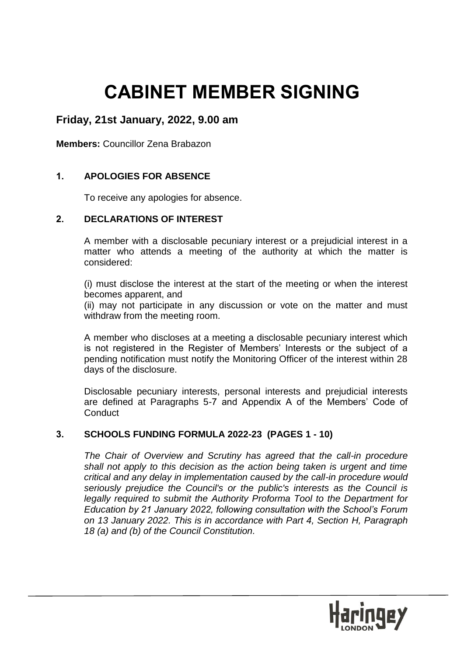# **CABINET MEMBER SIGNING**

# **Friday, 21st January, 2022, 9.00 am**

**Members:** Councillor Zena Brabazon

## **1. APOLOGIES FOR ABSENCE**

To receive any apologies for absence.

### **2. DECLARATIONS OF INTEREST**

A member with a disclosable pecuniary interest or a prejudicial interest in a matter who attends a meeting of the authority at which the matter is considered:

(i) must disclose the interest at the start of the meeting or when the interest becomes apparent, and

(ii) may not participate in any discussion or vote on the matter and must withdraw from the meeting room.

A member who discloses at a meeting a disclosable pecuniary interest which is not registered in the Register of Members' Interests or the subject of a pending notification must notify the Monitoring Officer of the interest within 28 days of the disclosure.

Disclosable pecuniary interests, personal interests and prejudicial interests are defined at Paragraphs 5-7 and Appendix A of the Members' Code of **Conduct** 

### **3. SCHOOLS FUNDING FORMULA 2022-23 (PAGES 1 - 10)**

*The Chair of Overview and Scrutiny has agreed that the call-in procedure shall not apply to this decision as the action being taken is urgent and time critical and any delay in implementation caused by the call-in procedure would seriously prejudice the Council's or the public's interests as the Council is legally required to submit the Authority Proforma Tool to the Department for Education by 21 January 2022, following consultation with the School's Forum on 13 January 2022. This is in accordance with Part 4, Section H, Paragraph 18 (a) and (b) of the Council Constitution.*